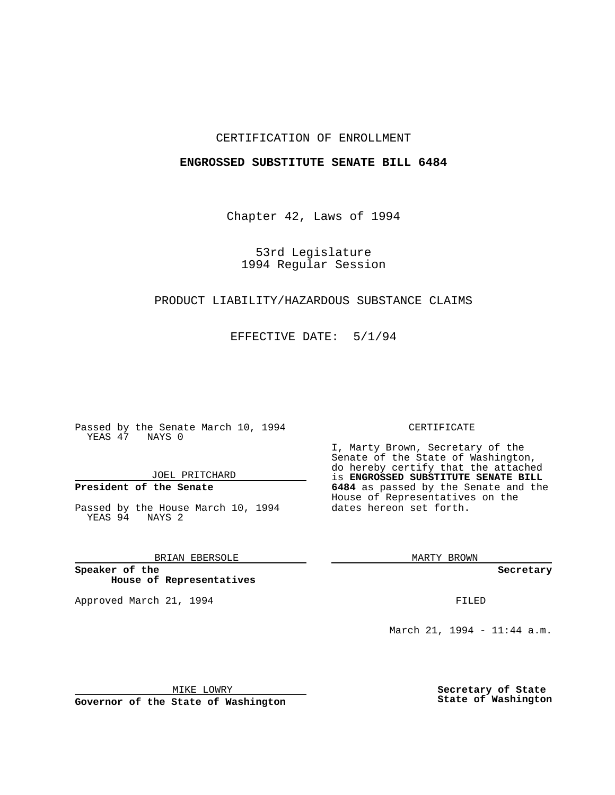#### CERTIFICATION OF ENROLLMENT

#### **ENGROSSED SUBSTITUTE SENATE BILL 6484**

Chapter 42, Laws of 1994

53rd Legislature 1994 Regular Session

## PRODUCT LIABILITY/HAZARDOUS SUBSTANCE CLAIMS

EFFECTIVE DATE: 5/1/94

Passed by the Senate March 10, 1994 YEAS 47 NAYS 0

JOEL PRITCHARD

# **President of the Senate**

Passed by the House March 10, 1994 YEAS 94 NAYS 2

## BRIAN EBERSOLE

**Speaker of the House of Representatives**

Approved March 21, 1994 **FILED** 

#### CERTIFICATE

I, Marty Brown, Secretary of the Senate of the State of Washington, do hereby certify that the attached is **ENGROSSED SUBSTITUTE SENATE BILL 6484** as passed by the Senate and the House of Representatives on the dates hereon set forth.

MARTY BROWN

**Secretary**

March 21, 1994 - 11:44 a.m.

MIKE LOWRY

**Governor of the State of Washington**

**Secretary of State State of Washington**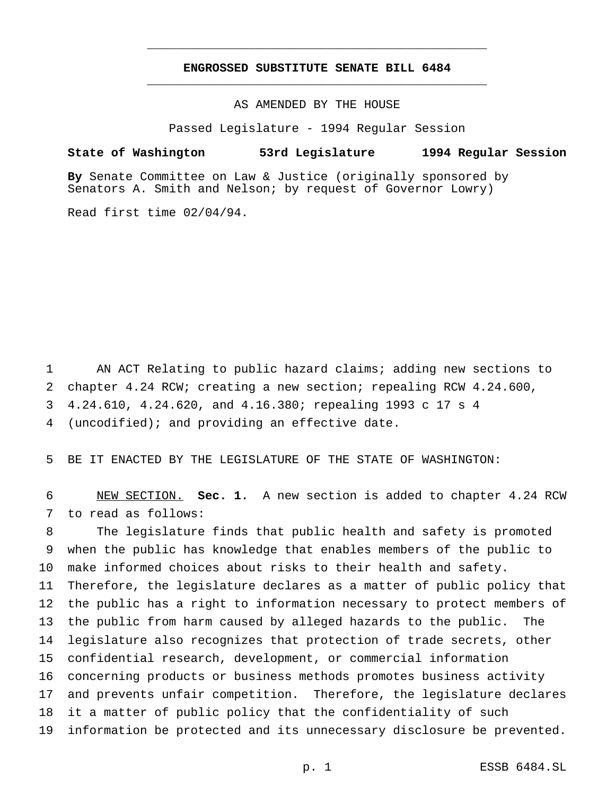# **ENGROSSED SUBSTITUTE SENATE BILL 6484** \_\_\_\_\_\_\_\_\_\_\_\_\_\_\_\_\_\_\_\_\_\_\_\_\_\_\_\_\_\_\_\_\_\_\_\_\_\_\_\_\_\_\_\_\_\_\_

\_\_\_\_\_\_\_\_\_\_\_\_\_\_\_\_\_\_\_\_\_\_\_\_\_\_\_\_\_\_\_\_\_\_\_\_\_\_\_\_\_\_\_\_\_\_\_

AS AMENDED BY THE HOUSE

Passed Legislature - 1994 Regular Session

#### **State of Washington 53rd Legislature 1994 Regular Session**

**By** Senate Committee on Law & Justice (originally sponsored by Senators A. Smith and Nelson; by request of Governor Lowry)

Read first time 02/04/94.

 AN ACT Relating to public hazard claims; adding new sections to chapter 4.24 RCW; creating a new section; repealing RCW 4.24.600, 4.24.610, 4.24.620, and 4.16.380; repealing 1993 c 17 s 4 (uncodified); and providing an effective date.

BE IT ENACTED BY THE LEGISLATURE OF THE STATE OF WASHINGTON:

 NEW SECTION. **Sec. 1.** A new section is added to chapter 4.24 RCW to read as follows:

 The legislature finds that public health and safety is promoted when the public has knowledge that enables members of the public to make informed choices about risks to their health and safety. Therefore, the legislature declares as a matter of public policy that the public has a right to information necessary to protect members of the public from harm caused by alleged hazards to the public. The legislature also recognizes that protection of trade secrets, other confidential research, development, or commercial information concerning products or business methods promotes business activity and prevents unfair competition. Therefore, the legislature declares it a matter of public policy that the confidentiality of such information be protected and its unnecessary disclosure be prevented.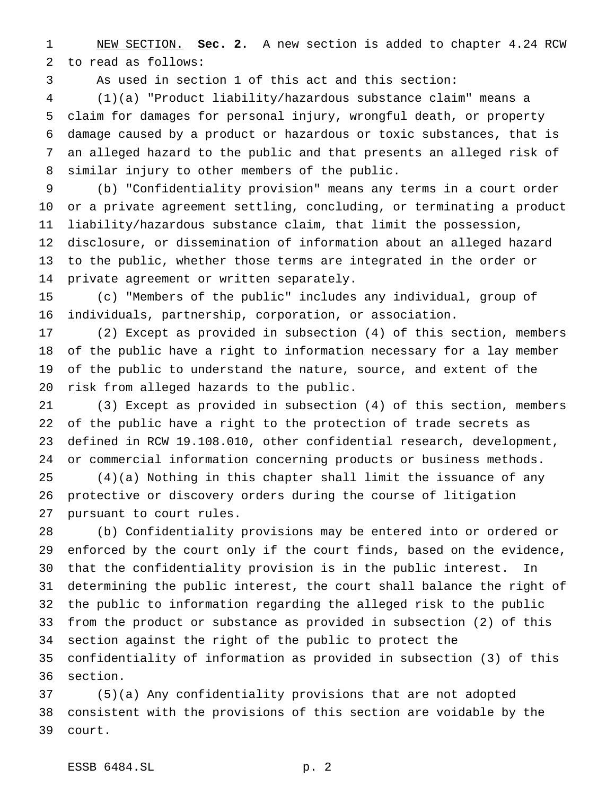NEW SECTION. **Sec. 2.** A new section is added to chapter 4.24 RCW to read as follows:

As used in section 1 of this act and this section:

 (1)(a) "Product liability/hazardous substance claim" means a claim for damages for personal injury, wrongful death, or property damage caused by a product or hazardous or toxic substances, that is an alleged hazard to the public and that presents an alleged risk of similar injury to other members of the public.

 (b) "Confidentiality provision" means any terms in a court order or a private agreement settling, concluding, or terminating a product liability/hazardous substance claim, that limit the possession, disclosure, or dissemination of information about an alleged hazard to the public, whether those terms are integrated in the order or private agreement or written separately.

 (c) "Members of the public" includes any individual, group of individuals, partnership, corporation, or association.

 (2) Except as provided in subsection (4) of this section, members of the public have a right to information necessary for a lay member of the public to understand the nature, source, and extent of the risk from alleged hazards to the public.

 (3) Except as provided in subsection (4) of this section, members of the public have a right to the protection of trade secrets as defined in RCW 19.108.010, other confidential research, development, or commercial information concerning products or business methods.

 (4)(a) Nothing in this chapter shall limit the issuance of any protective or discovery orders during the course of litigation pursuant to court rules.

 (b) Confidentiality provisions may be entered into or ordered or enforced by the court only if the court finds, based on the evidence, that the confidentiality provision is in the public interest. In determining the public interest, the court shall balance the right of the public to information regarding the alleged risk to the public from the product or substance as provided in subsection (2) of this section against the right of the public to protect the confidentiality of information as provided in subsection (3) of this section.

 (5)(a) Any confidentiality provisions that are not adopted consistent with the provisions of this section are voidable by the court.